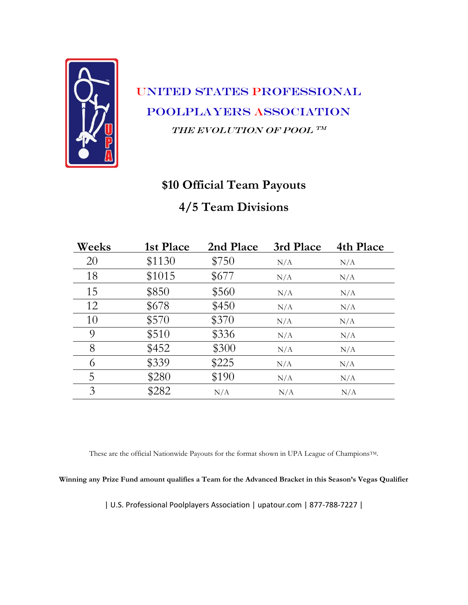

#### **\$10 Official Team Payouts**

#### **4/5 Team Divisions**

| Weeks | 1st Place | 2nd Place | 3rd Place | 4th Place |
|-------|-----------|-----------|-----------|-----------|
| 20    | \$1130    | \$750     | N/A       | N/A       |
| 18    | \$1015    | \$677     | N/A       | N/A       |
| 15    | \$850     | \$560     | N/A       | N/A       |
| 12    | \$678     | \$450     | N/A       | N/A       |
| 10    | \$570     | \$370     | N/A       | N/A       |
| 9     | \$510     | \$336     | N/A       | N/A       |
| 8     | \$452     | \$300     | N/A       | N/A       |
| 6     | \$339     | \$225     | N/A       | N/A       |
| 5     | \$280     | \$190     | N/A       | N/A       |
| 3     | \$282     | N/A       | N/A       | N/A       |

These are the official Nationwide Payouts for the format shown in UPA League of Champions<sup>TM</sup>.

**Winning any Prize Fund amount qualifies a Team for the Advanced Bracket in this Season's Vegas Qualifier**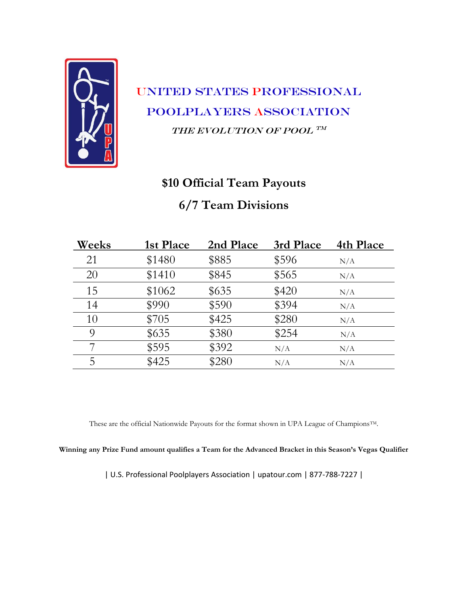

#### **\$10 Official Team Payouts**

#### **6/7 Team Divisions**

| Weeks | 1st Place | 2nd Place | 3rd Place | 4th Place |
|-------|-----------|-----------|-----------|-----------|
| 21    | \$1480    | \$885     | \$596     | N/A       |
| 20    | \$1410    | \$845     | \$565     | N/A       |
| 15    | \$1062    | \$635     | \$420     | N/A       |
| 14    | \$990     | \$590     | \$394     | N/A       |
| 10    | \$705     | \$425     | \$280     | N/A       |
| 9     | \$635     | \$380     | \$254     | N/A       |
|       | \$595     | \$392     | N/A       | N/A       |
| 5     | \$425     | \$280     | N/A       | N/A       |

These are the official Nationwide Payouts for the format shown in UPA League of ChampionsTM.

**Winning any Prize Fund amount qualifies a Team for the Advanced Bracket in this Season's Vegas Qualifier**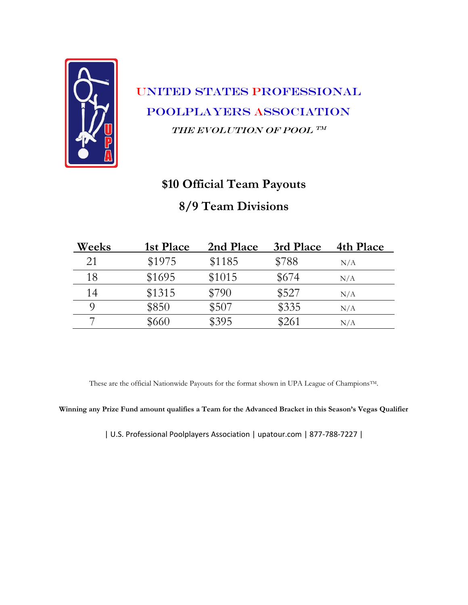

### **\$10 Official Team Payouts**

#### **8/9 Team Divisions**

| Weeks | 1st Place | 2nd Place | 3rd Place | 4th Place |
|-------|-----------|-----------|-----------|-----------|
| 21    | \$1975    | \$1185    | \$788     | N/A       |
| 18    | \$1695    | \$1015    | \$674     | N/A       |
| 14    | \$1315    | \$790     | \$527     | N/A       |
|       | \$850     | \$507     | \$335     | N/A       |
|       | \$660     | \$395     | \$261     | N/A       |

These are the official Nationwide Payouts for the format shown in UPA League of ChampionsTM.

**Winning any Prize Fund amount qualifies a Team for the Advanced Bracket in this Season's Vegas Qualifier**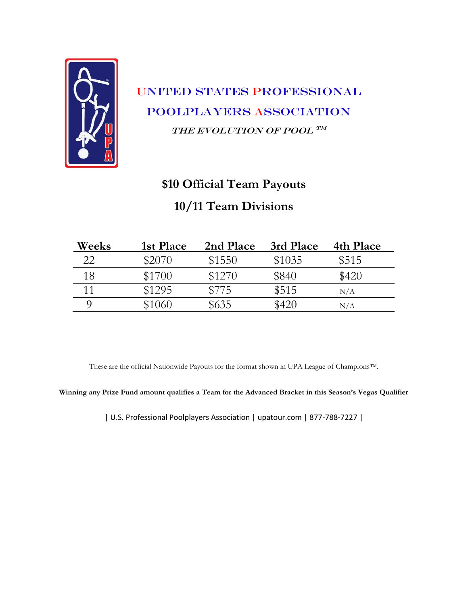

# **\$10 Official Team Payouts 10/11 Team Divisions**

| Weeks | 1st Place | 2nd Place | 3rd Place | 4th Place |
|-------|-----------|-----------|-----------|-----------|
| 22    | \$2070    | \$1550    | \$1035    | \$515     |
| 18    | \$1700    | \$1270    | \$840     | \$420     |
|       | \$1295    | \$775     | \$515     | N/A       |
|       | \$1060    | \$635     | \$420     | N/A       |

These are the official Nationwide Payouts for the format shown in UPA League of ChampionsTM.

**Winning any Prize Fund amount qualifies a Team for the Advanced Bracket in this Season's Vegas Qualifier**